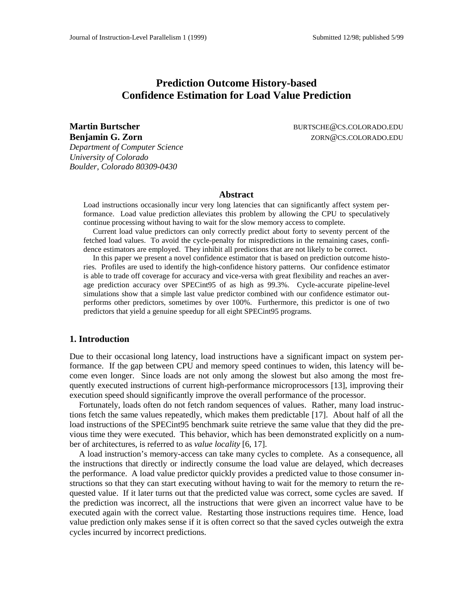# **Prediction Outcome History-based Confidence Estimation for Load Value Prediction**

**Benjamin G. Zorn** Zorn **ZORN@CS.COLORADO.EDU** *Department of Computer Science University of Colorado Boulder, Colorado 80309-0430*

**Martin Burtscher BURTSCHE@CS.COLORADO.EDU** 

### **Abstract**

Load instructions occasionally incur very long latencies that can significantly affect system performance. Load value prediction alleviates this problem by allowing the CPU to speculatively continue processing without having to wait for the slow memory access to complete.

Current load value predictors can only correctly predict about forty to seventy percent of the fetched load values. To avoid the cycle-penalty for mispredictions in the remaining cases, confidence estimators are employed. They inhibit all predictions that are not likely to be correct.

In this paper we present a novel confidence estimator that is based on prediction outcome histories. Profiles are used to identify the high-confidence history patterns. Our confidence estimator is able to trade off coverage for accuracy and vice-versa with great flexibility and reaches an average prediction accuracy over SPECint95 of as high as 99.3%. Cycle-accurate pipeline-level simulations show that a simple last value predictor combined with our confidence estimator outperforms other predictors, sometimes by over 100%. Furthermore, this predictor is one of two predictors that yield a genuine speedup for all eight SPECint95 programs.

#### **1. Introduction**

Due to their occasional long latency, load instructions have a significant impact on system performance. If the gap between CPU and memory speed continues to widen, this latency will become even longer. Since loads are not only among the slowest but also among the most frequently executed instructions of current high-performance microprocessors [13], improving their execution speed should significantly improve the overall performance of the processor.

Fortunately, loads often do not fetch random sequences of values. Rather, many load instructions fetch the same values repeatedly, which makes them predictable [17]. About half of all the load instructions of the SPECint95 benchmark suite retrieve the same value that they did the previous time they were executed. This behavior, which has been demonstrated explicitly on a number of architectures, is referred to as *value locality* [6, 17].

A load instruction's memory-access can take many cycles to complete. As a consequence, all the instructions that directly or indirectly consume the load value are delayed, which decreases the performance. A load value predictor quickly provides a predicted value to those consumer instructions so that they can start executing without having to wait for the memory to return the requested value. If it later turns out that the predicted value was correct, some cycles are saved. If the prediction was incorrect, all the instructions that were given an incorrect value have to be executed again with the correct value. Restarting those instructions requires time. Hence, load value prediction only makes sense if it is often correct so that the saved cycles outweigh the extra cycles incurred by incorrect predictions.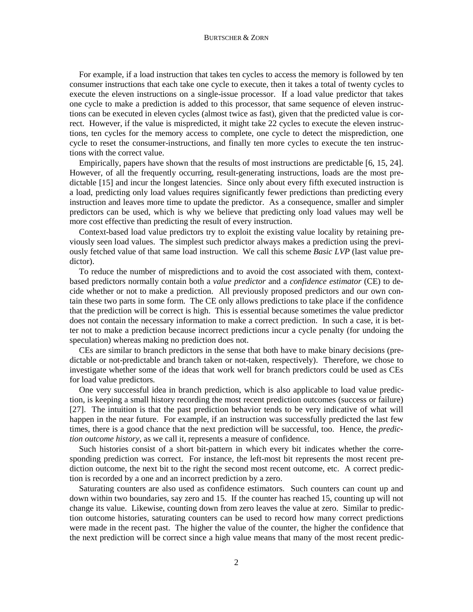#### BURTSCHER & ZORN

For example, if a load instruction that takes ten cycles to access the memory is followed by ten consumer instructions that each take one cycle to execute, then it takes a total of twenty cycles to execute the eleven instructions on a single-issue processor. If a load value predictor that takes one cycle to make a prediction is added to this processor, that same sequence of eleven instructions can be executed in eleven cycles (almost twice as fast), given that the predicted value is correct. However, if the value is mispredicted, it might take 22 cycles to execute the eleven instructions, ten cycles for the memory access to complete, one cycle to detect the misprediction, one cycle to reset the consumer-instructions, and finally ten more cycles to execute the ten instructions with the correct value.

Empirically, papers have shown that the results of most instructions are predictable [6, 15, 24]. However, of all the frequently occurring, result-generating instructions, loads are the most predictable [15] and incur the longest latencies. Since only about every fifth executed instruction is a load, predicting only load values requires significantly fewer predictions than predicting every instruction and leaves more time to update the predictor. As a consequence, smaller and simpler predictors can be used, which is why we believe that predicting only load values may well be more cost effective than predicting the result of every instruction.

Context-based load value predictors try to exploit the existing value locality by retaining previously seen load values. The simplest such predictor always makes a prediction using the previously fetched value of that same load instruction. We call this scheme *Basic LVP* (last value predictor).

To reduce the number of mispredictions and to avoid the cost associated with them, contextbased predictors normally contain both a *value predictor* and a *confidence estimator* (CE) to decide whether or not to make a prediction. All previously proposed predictors and our own contain these two parts in some form. The CE only allows predictions to take place if the confidence that the prediction will be correct is high. This is essential because sometimes the value predictor does not contain the necessary information to make a correct prediction. In such a case, it is better not to make a prediction because incorrect predictions incur a cycle penalty (for undoing the speculation) whereas making no prediction does not.

CEs are similar to branch predictors in the sense that both have to make binary decisions (predictable or not-predictable and branch taken or not-taken, respectively). Therefore, we chose to investigate whether some of the ideas that work well for branch predictors could be used as CEs for load value predictors.

One very successful idea in branch prediction, which is also applicable to load value prediction, is keeping a small history recording the most recent prediction outcomes (success or failure) [27]. The intuition is that the past prediction behavior tends to be very indicative of what will happen in the near future. For example, if an instruction was successfully predicted the last few times, there is a good chance that the next prediction will be successful, too. Hence, the *prediction outcome history*, as we call it, represents a measure of confidence.

Such histories consist of a short bit-pattern in which every bit indicates whether the corresponding prediction was correct. For instance, the left-most bit represents the most recent prediction outcome, the next bit to the right the second most recent outcome, etc. A correct prediction is recorded by a one and an incorrect prediction by a zero.

Saturating counters are also used as confidence estimators. Such counters can count up and down within two boundaries, say zero and 15. If the counter has reached 15, counting up will not change its value. Likewise, counting down from zero leaves the value at zero. Similar to prediction outcome histories, saturating counters can be used to record how many correct predictions were made in the recent past. The higher the value of the counter, the higher the confidence that the next prediction will be correct since a high value means that many of the most recent predic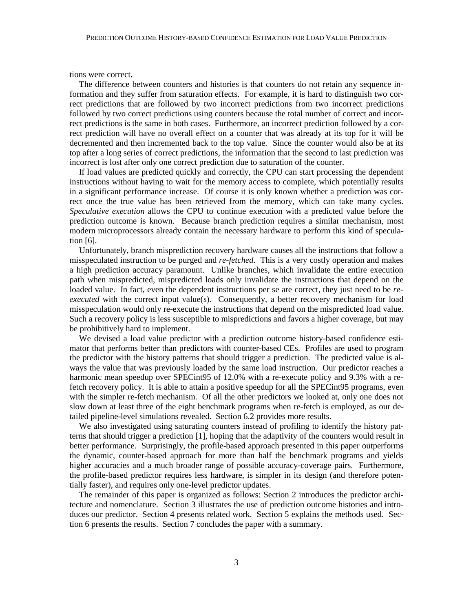tions were correct.

The difference between counters and histories is that counters do not retain any sequence information and they suffer from saturation effects. For example, it is hard to distinguish two correct predictions that are followed by two incorrect predictions from two incorrect predictions followed by two correct predictions using counters because the total number of correct and incorrect predictions is the same in both cases. Furthermore, an incorrect prediction followed by a correct prediction will have no overall effect on a counter that was already at its top for it will be decremented and then incremented back to the top value. Since the counter would also be at its top after a long series of correct predictions, the information that the second to last prediction was incorrect is lost after only one correct prediction due to saturation of the counter.

If load values are predicted quickly and correctly, the CPU can start processing the dependent instructions without having to wait for the memory access to complete, which potentially results in a significant performance increase. Of course it is only known whether a prediction was correct once the true value has been retrieved from the memory, which can take many cycles. *Speculative execution* allows the CPU to continue execution with a predicted value before the prediction outcome is known. Because branch prediction requires a similar mechanism, most modern microprocessors already contain the necessary hardware to perform this kind of speculation [6].

Unfortunately, branch misprediction recovery hardware causes all the instructions that follow a misspeculated instruction to be purged and *re-fetched*. This is a very costly operation and makes a high prediction accuracy paramount. Unlike branches, which invalidate the entire execution path when mispredicted, mispredicted loads only invalidate the instructions that depend on the loaded value. In fact, even the dependent instructions per se are correct, they just need to be *reexecuted* with the correct input value(s). Consequently, a better recovery mechanism for load misspeculation would only re-execute the instructions that depend on the mispredicted load value. Such a recovery policy is less susceptible to mispredictions and favors a higher coverage, but may be prohibitively hard to implement.

We devised a load value predictor with a prediction outcome history-based confidence estimator that performs better than predictors with counter-based CEs. Profiles are used to program the predictor with the history patterns that should trigger a prediction. The predicted value is always the value that was previously loaded by the same load instruction. Our predictor reaches a harmonic mean speedup over SPECint95 of 12.0% with a re-execute policy and 9.3% with a refetch recovery policy. It is able to attain a positive speedup for all the SPECint95 programs, even with the simpler re-fetch mechanism. Of all the other predictors we looked at, only one does not slow down at least three of the eight benchmark programs when re-fetch is employed, as our detailed pipeline-level simulations revealed. Section 6.2 provides more results.

We also investigated using saturating counters instead of profiling to identify the history patterns that should trigger a prediction [1], hoping that the adaptivity of the counters would result in better performance. Surprisingly, the profile-based approach presented in this paper outperforms the dynamic, counter-based approach for more than half the benchmark programs and yields higher accuracies and a much broader range of possible accuracy-coverage pairs. Furthermore, the profile-based predictor requires less hardware, is simpler in its design (and therefore potentially faster), and requires only one-level predictor updates.

The remainder of this paper is organized as follows: Section 2 introduces the predictor architecture and nomenclature. Section 3 illustrates the use of prediction outcome histories and introduces our predictor. Section 4 presents related work. Section 5 explains the methods used. Section 6 presents the results. Section 7 concludes the paper with a summary.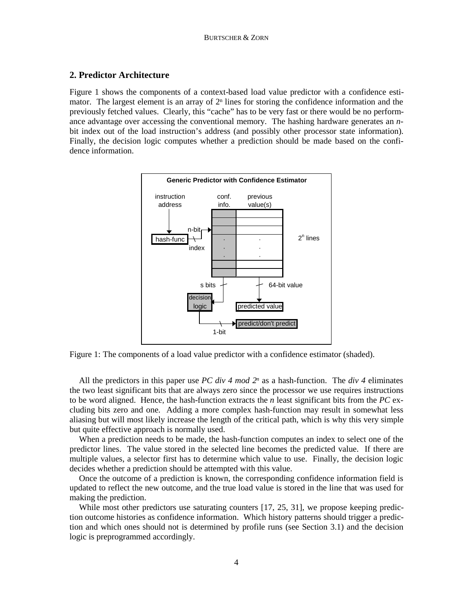# **2. Predictor Architecture**

Figure 1 shows the components of a context-based load value predictor with a confidence estimator. The largest element is an array of  $2<sup>n</sup>$  lines for storing the confidence information and the previously fetched values. Clearly, this "cache" has to be very fast or there would be no performance advantage over accessing the conventional memory. The hashing hardware generates an *n*bit index out of the load instruction's address (and possibly other processor state information). Finally, the decision logic computes whether a prediction should be made based on the confidence information.



Figure 1: The components of a load value predictor with a confidence estimator (shaded).

All the predictors in this paper use *PC div 4 mod 2<sup>n</sup>* as a hash-function. The *div 4* eliminates the two least significant bits that are always zero since the processor we use requires instructions to be word aligned. Hence, the hash-function extracts the *n* least significant bits from the *PC* excluding bits zero and one. Adding a more complex hash-function may result in somewhat less aliasing but will most likely increase the length of the critical path, which is why this very simple but quite effective approach is normally used.

When a prediction needs to be made, the hash-function computes an index to select one of the predictor lines. The value stored in the selected line becomes the predicted value. If there are multiple values, a selector first has to determine which value to use. Finally, the decision logic decides whether a prediction should be attempted with this value.

Once the outcome of a prediction is known, the corresponding confidence information field is updated to reflect the new outcome, and the true load value is stored in the line that was used for making the prediction.

While most other predictors use saturating counters [17, 25, 31], we propose keeping prediction outcome histories as confidence information. Which history patterns should trigger a prediction and which ones should not is determined by profile runs (see Section 3.1) and the decision logic is preprogrammed accordingly.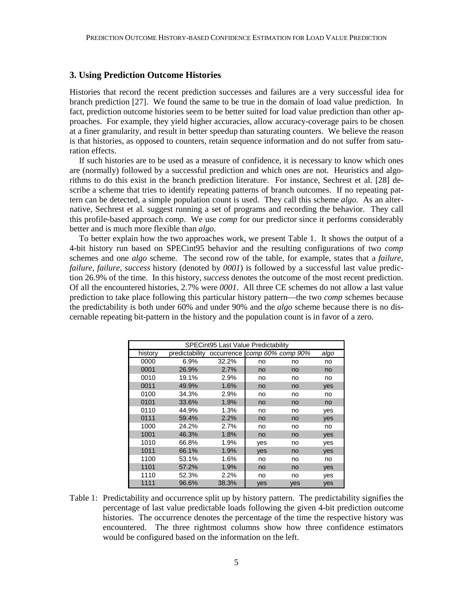### **3. Using Prediction Outcome Histories**

Histories that record the recent prediction successes and failures are a very successful idea for branch prediction [27]. We found the same to be true in the domain of load value prediction. In fact, prediction outcome histories seem to be better suited for load value prediction than other approaches. For example, they yield higher accuracies, allow accuracy-coverage pairs to be chosen at a finer granularity, and result in better speedup than saturating counters. We believe the reason is that histories, as opposed to counters, retain sequence information and do not suffer from saturation effects.

If such histories are to be used as a measure of confidence, it is necessary to know which ones are (normally) followed by a successful prediction and which ones are not. Heuristics and algorithms to do this exist in the branch prediction literature. For instance, Sechrest et al. [28] describe a scheme that tries to identify repeating patterns of branch outcomes. If no repeating pattern can be detected, a simple population count is used. They call this scheme *algo*. As an alternative, Sechrest et al. suggest running a set of programs and recording the behavior. They call this profile-based approach *comp*. We use *comp* for our predictor since it performs considerably better and is much more flexible than *algo*.

To better explain how the two approaches work, we present Table 1. It shows the output of a 4-bit history run based on SPECint95 behavior and the resulting configurations of two *comp* schemes and one *algo* scheme. The second row of the table, for example, states that a *failure, failure, failure, success* history (denoted by *0001*) is followed by a successful last value prediction 26.9% of the time. In this history, *success* denotes the outcome of the most recent prediction. Of all the encountered histories, 2.7% were *0001*. All three CE schemes do not allow a last value prediction to take place following this particular history pattern—the two *comp* schemes because the predictability is both under 60% and under 90% and the *algo* scheme because there is no discernable repeating bit-pattern in the history and the population count is in favor of a zero.

| <b>SPECint95 Last Value Predictability</b> |                |                              |     |     |      |  |
|--------------------------------------------|----------------|------------------------------|-----|-----|------|--|
| history                                    | predictability | occurrence comp 60% comp 90% |     |     | algo |  |
| 0000                                       | 6.9%           | 32.2%                        | no  | no  | no   |  |
| 0001                                       | 26.9%          | 2.7%                         | no  | no  | no   |  |
| 0010                                       | 19.1%          | 2.9%                         | no  | no  | no   |  |
| 0011                                       | 49.9%          | 1.6%                         | no  | no  | yes  |  |
| 0100                                       | 34.3%          | 2.9%                         | no  | no  | no   |  |
| 0101                                       | 33.6%          | 1.9%                         | no  | no  | no   |  |
| 0110                                       | 44.9%          | 1.3%                         | no  | no  | yes  |  |
| 0111                                       | 59.4%          | 2.2%                         | no  | no  | yes  |  |
| 1000                                       | 24.2%          | 2.7%                         | no  | no  | no   |  |
| 1001                                       | 46.3%          | 1.8%                         | no  | no  | yes  |  |
| 1010                                       | 66.8%          | 1.9%                         | yes | no  | yes  |  |
| 1011                                       | 66.1%          | 1.9%                         | yes | no  | yes  |  |
| 1100                                       | 53.1%          | 1.6%                         | no  | no  | no   |  |
| 1101                                       | 57.2%          | 1.9%                         | no  | no  | yes  |  |
| 1110                                       | 52.3%          | 2.2%                         | no  | no  | yes  |  |
| 1111                                       | 96.6%          | 38.3%                        | yes | yes | yes  |  |

Table 1: Predictability and occurrence split up by history pattern. The predictability signifies the percentage of last value predictable loads following the given 4-bit prediction outcome histories. The occurrence denotes the percentage of the time the respective history was encountered. The three rightmost columns show how three confidence estimators would be configured based on the information on the left.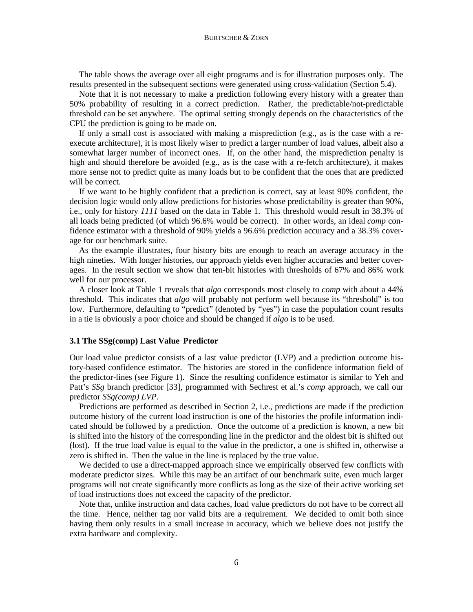#### BURTSCHER & ZORN

The table shows the average over all eight programs and is for illustration purposes only. The results presented in the subsequent sections were generated using cross-validation (Section 5.4).

Note that it is not necessary to make a prediction following every history with a greater than 50% probability of resulting in a correct prediction. Rather, the predictable/not-predictable threshold can be set anywhere. The optimal setting strongly depends on the characteristics of the CPU the prediction is going to be made on.

If only a small cost is associated with making a misprediction (e.g., as is the case with a reexecute architecture), it is most likely wiser to predict a larger number of load values, albeit also a somewhat larger number of incorrect ones. If, on the other hand, the misprediction penalty is high and should therefore be avoided (e.g., as is the case with a re-fetch architecture), it makes more sense not to predict quite as many loads but to be confident that the ones that are predicted will be correct.

If we want to be highly confident that a prediction is correct, say at least 90% confident, the decision logic would only allow predictions for histories whose predictability is greater than 90%, i.e., only for history *1111* based on the data in Table 1. This threshold would result in 38.3% of all loads being predicted (of which 96.6% would be correct). In other words, an ideal *comp* confidence estimator with a threshold of 90% yields a 96.6% prediction accuracy and a 38.3% coverage for our benchmark suite.

As the example illustrates, four history bits are enough to reach an average accuracy in the high nineties. With longer histories, our approach yields even higher accuracies and better coverages. In the result section we show that ten-bit histories with thresholds of 67% and 86% work well for our processor.

A closer look at Table 1 reveals that *algo* corresponds most closely to *comp* with about a 44% threshold. This indicates that *algo* will probably not perform well because its "threshold" is too low. Furthermore, defaulting to "predict" (denoted by "yes") in case the population count results in a tie is obviously a poor choice and should be changed if *algo* is to be used.

### **3.1 The SSg(comp) Last Value Predictor**

Our load value predictor consists of a last value predictor (LVP) and a prediction outcome history-based confidence estimator. The histories are stored in the confidence information field of the predictor-lines (see Figure 1). Since the resulting confidence estimator is similar to Yeh and Patt's *SSg* branch predictor [33], programmed with Sechrest et al.'s *comp* approach, we call our predictor *SSg(comp) LVP*.

Predictions are performed as described in Section 2, i.e., predictions are made if the prediction outcome history of the current load instruction is one of the histories the profile information indicated should be followed by a prediction. Once the outcome of a prediction is known, a new bit is shifted into the history of the corresponding line in the predictor and the oldest bit is shifted out (lost). If the true load value is equal to the value in the predictor, a one is shifted in, otherwise a zero is shifted in. Then the value in the line is replaced by the true value.

We decided to use a direct-mapped approach since we empirically observed few conflicts with moderate predictor sizes. While this may be an artifact of our benchmark suite, even much larger programs will not create significantly more conflicts as long as the size of their active working set of load instructions does not exceed the capacity of the predictor.

Note that, unlike instruction and data caches, load value predictors do not have to be correct all the time. Hence, neither tag nor valid bits are a requirement. We decided to omit both since having them only results in a small increase in accuracy, which we believe does not justify the extra hardware and complexity.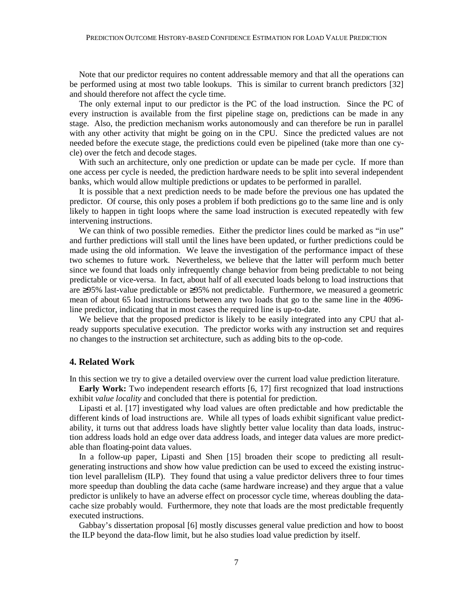Note that our predictor requires no content addressable memory and that all the operations can be performed using at most two table lookups. This is similar to current branch predictors [32] and should therefore not affect the cycle time.

The only external input to our predictor is the PC of the load instruction. Since the PC of every instruction is available from the first pipeline stage on, predictions can be made in any stage. Also, the prediction mechanism works autonomously and can therefore be run in parallel with any other activity that might be going on in the CPU. Since the predicted values are not needed before the execute stage, the predictions could even be pipelined (take more than one cycle) over the fetch and decode stages.

With such an architecture, only one prediction or update can be made per cycle. If more than one access per cycle is needed, the prediction hardware needs to be split into several independent banks, which would allow multiple predictions or updates to be performed in parallel.

It is possible that a next prediction needs to be made before the previous one has updated the predictor. Of course, this only poses a problem if both predictions go to the same line and is only likely to happen in tight loops where the same load instruction is executed repeatedly with few intervening instructions.

We can think of two possible remedies. Either the predictor lines could be marked as "in use" and further predictions will stall until the lines have been updated, or further predictions could be made using the old information. We leave the investigation of the performance impact of these two schemes to future work. Nevertheless, we believe that the latter will perform much better since we found that loads only infrequently change behavior from being predictable to not being predictable or vice-versa. In fact, about half of all executed loads belong to load instructions that are ≥95% last-value predictable or ≥95% not predictable. Furthermore, we measured a geometric mean of about 65 load instructions between any two loads that go to the same line in the 4096 line predictor, indicating that in most cases the required line is up-to-date.

We believe that the proposed predictor is likely to be easily integrated into any CPU that already supports speculative execution. The predictor works with any instruction set and requires no changes to the instruction set architecture, such as adding bits to the op-code.

# **4. Related Work**

In this section we try to give a detailed overview over the current load value prediction literature.

**Early Work:** Two independent research efforts [6, 17] first recognized that load instructions exhibit *value locality* and concluded that there is potential for prediction.

Lipasti et al. [17] investigated why load values are often predictable and how predictable the different kinds of load instructions are. While all types of loads exhibit significant value predictability, it turns out that address loads have slightly better value locality than data loads, instruction address loads hold an edge over data address loads, and integer data values are more predictable than floating-point data values.

In a follow-up paper, Lipasti and Shen [15] broaden their scope to predicting all resultgenerating instructions and show how value prediction can be used to exceed the existing instruction level parallelism (ILP). They found that using a value predictor delivers three to four times more speedup than doubling the data cache (same hardware increase) and they argue that a value predictor is unlikely to have an adverse effect on processor cycle time, whereas doubling the datacache size probably would. Furthermore, they note that loads are the most predictable frequently executed instructions.

Gabbay's dissertation proposal [6] mostly discusses general value prediction and how to boost the ILP beyond the data-flow limit, but he also studies load value prediction by itself.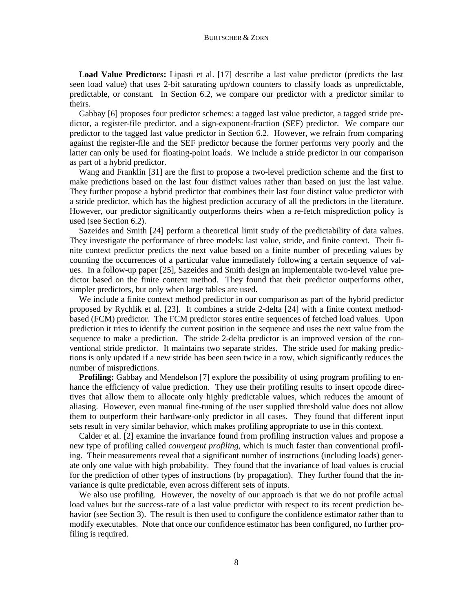#### BURTSCHER & ZORN

**Load Value Predictors:** Lipasti et al. [17] describe a last value predictor (predicts the last seen load value) that uses 2-bit saturating up/down counters to classify loads as unpredictable, predictable, or constant. In Section 6.2, we compare our predictor with a predictor similar to theirs.

Gabbay [6] proposes four predictor schemes: a tagged last value predictor, a tagged stride predictor, a register-file predictor, and a sign-exponent-fraction (SEF) predictor. We compare our predictor to the tagged last value predictor in Section 6.2. However, we refrain from comparing against the register-file and the SEF predictor because the former performs very poorly and the latter can only be used for floating-point loads. We include a stride predictor in our comparison as part of a hybrid predictor.

Wang and Franklin [31] are the first to propose a two-level prediction scheme and the first to make predictions based on the last four distinct values rather than based on just the last value. They further propose a hybrid predictor that combines their last four distinct value predictor with a stride predictor, which has the highest prediction accuracy of all the predictors in the literature. However, our predictor significantly outperforms theirs when a re-fetch misprediction policy is used (see Section 6.2).

Sazeides and Smith [24] perform a theoretical limit study of the predictability of data values. They investigate the performance of three models: last value, stride, and finite context. Their finite context predictor predicts the next value based on a finite number of preceding values by counting the occurrences of a particular value immediately following a certain sequence of values. In a follow-up paper [25], Sazeides and Smith design an implementable two-level value predictor based on the finite context method. They found that their predictor outperforms other, simpler predictors, but only when large tables are used.

We include a finite context method predictor in our comparison as part of the hybrid predictor proposed by Rychlik et al. [23]. It combines a stride 2-delta [24] with a finite context methodbased (FCM) predictor. The FCM predictor stores entire sequences of fetched load values. Upon prediction it tries to identify the current position in the sequence and uses the next value from the sequence to make a prediction. The stride 2-delta predictor is an improved version of the conventional stride predictor. It maintains two separate strides. The stride used for making predictions is only updated if a new stride has been seen twice in a row, which significantly reduces the number of mispredictions.

**Profiling:** Gabbay and Mendelson [7] explore the possibility of using program profiling to enhance the efficiency of value prediction. They use their profiling results to insert opcode directives that allow them to allocate only highly predictable values, which reduces the amount of aliasing. However, even manual fine-tuning of the user supplied threshold value does not allow them to outperform their hardware-only predictor in all cases. They found that different input sets result in very similar behavior, which makes profiling appropriate to use in this context.

Calder et al. [2] examine the invariance found from profiling instruction values and propose a new type of profiling called *convergent profiling*, which is much faster than conventional profiling. Their measurements reveal that a significant number of instructions (including loads) generate only one value with high probability. They found that the invariance of load values is crucial for the prediction of other types of instructions (by propagation). They further found that the invariance is quite predictable, even across different sets of inputs.

We also use profiling. However, the novelty of our approach is that we do not profile actual load values but the success-rate of a last value predictor with respect to its recent prediction behavior (see Section 3). The result is then used to configure the confidence estimator rather than to modify executables. Note that once our confidence estimator has been configured, no further profiling is required.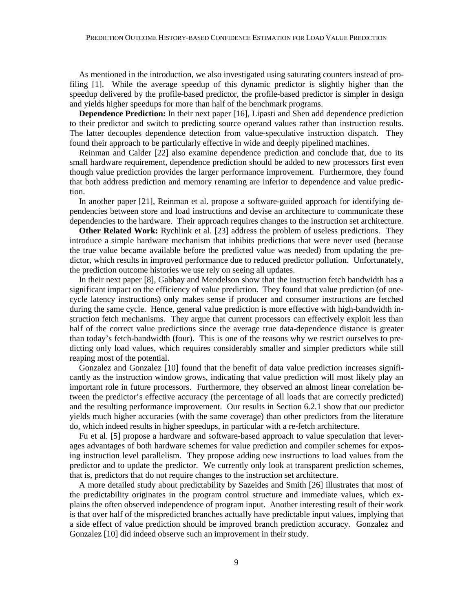As mentioned in the introduction, we also investigated using saturating counters instead of profiling [1]. While the average speedup of this dynamic predictor is slightly higher than the speedup delivered by the profile-based predictor, the profile-based predictor is simpler in design and yields higher speedups for more than half of the benchmark programs.

**Dependence Prediction:** In their next paper [16], Lipasti and Shen add dependence prediction to their predictor and switch to predicting source operand values rather than instruction results. The latter decouples dependence detection from value-speculative instruction dispatch. They found their approach to be particularly effective in wide and deeply pipelined machines.

Reinman and Calder [22] also examine dependence prediction and conclude that, due to its small hardware requirement, dependence prediction should be added to new processors first even though value prediction provides the larger performance improvement. Furthermore, they found that both address prediction and memory renaming are inferior to dependence and value prediction.

In another paper [21], Reinman et al. propose a software-guided approach for identifying dependencies between store and load instructions and devise an architecture to communicate these dependencies to the hardware. Their approach requires changes to the instruction set architecture.

**Other Related Work:** Rychlink et al. [23] address the problem of useless predictions. They introduce a simple hardware mechanism that inhibits predictions that were never used (because the true value became available before the predicted value was needed) from updating the predictor, which results in improved performance due to reduced predictor pollution. Unfortunately, the prediction outcome histories we use rely on seeing all updates.

In their next paper [8], Gabbay and Mendelson show that the instruction fetch bandwidth has a significant impact on the efficiency of value prediction. They found that value prediction (of onecycle latency instructions) only makes sense if producer and consumer instructions are fetched during the same cycle. Hence, general value prediction is more effective with high-bandwidth instruction fetch mechanisms. They argue that current processors can effectively exploit less than half of the correct value predictions since the average true data-dependence distance is greater than today's fetch-bandwidth (four). This is one of the reasons why we restrict ourselves to predicting only load values, which requires considerably smaller and simpler predictors while still reaping most of the potential.

Gonzalez and Gonzalez [10] found that the benefit of data value prediction increases significantly as the instruction window grows, indicating that value prediction will most likely play an important role in future processors. Furthermore, they observed an almost linear correlation between the predictor's effective accuracy (the percentage of all loads that are correctly predicted) and the resulting performance improvement. Our results in Section 6.2.1 show that our predictor yields much higher accuracies (with the same coverage) than other predictors from the literature do, which indeed results in higher speedups, in particular with a re-fetch architecture.

Fu et al. [5] propose a hardware and software-based approach to value speculation that leverages advantages of both hardware schemes for value prediction and compiler schemes for exposing instruction level parallelism. They propose adding new instructions to load values from the predictor and to update the predictor. We currently only look at transparent prediction schemes, that is, predictors that do not require changes to the instruction set architecture.

A more detailed study about predictability by Sazeides and Smith [26] illustrates that most of the predictability originates in the program control structure and immediate values, which explains the often observed independence of program input. Another interesting result of their work is that over half of the mispredicted branches actually have predictable input values, implying that a side effect of value prediction should be improved branch prediction accuracy. Gonzalez and Gonzalez [10] did indeed observe such an improvement in their study.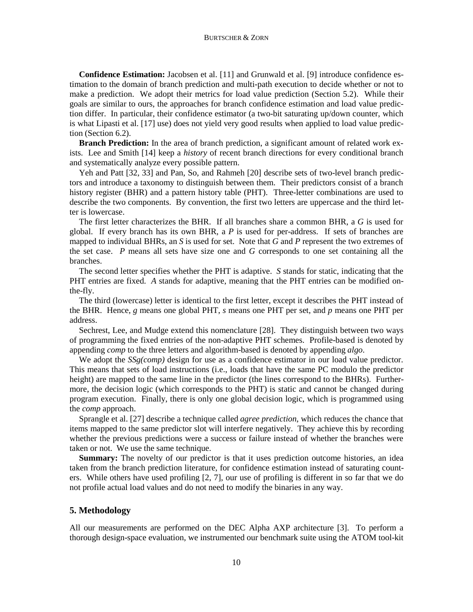**Confidence Estimation:** Jacobsen et al. [11] and Grunwald et al. [9] introduce confidence estimation to the domain of branch prediction and multi-path execution to decide whether or not to make a prediction. We adopt their metrics for load value prediction (Section 5.2). While their goals are similar to ours, the approaches for branch confidence estimation and load value prediction differ. In particular, their confidence estimator (a two-bit saturating up/down counter, which is what Lipasti et al. [17] use) does not yield very good results when applied to load value prediction (Section 6.2).

**Branch Prediction:** In the area of branch prediction, a significant amount of related work exists. Lee and Smith [14] keep a *history* of recent branch directions for every conditional branch and systematically analyze every possible pattern.

Yeh and Patt [32, 33] and Pan, So, and Rahmeh [20] describe sets of two-level branch predictors and introduce a taxonomy to distinguish between them. Their predictors consist of a branch history register (BHR) and a pattern history table (PHT). Three-letter combinations are used to describe the two components. By convention, the first two letters are uppercase and the third letter is lowercase.

The first letter characterizes the BHR. If all branches share a common BHR, a *G* is used for global. If every branch has its own BHR, a *P* is used for per-address. If sets of branches are mapped to individual BHRs, an *S* is used for set. Note that *G* and *P* represent the two extremes of the set case. *P* means all sets have size one and *G* corresponds to one set containing all the branches.

The second letter specifies whether the PHT is adaptive. *S* stands for static, indicating that the PHT entries are fixed. *A* stands for adaptive, meaning that the PHT entries can be modified onthe-fly.

The third (lowercase) letter is identical to the first letter, except it describes the PHT instead of the BHR. Hence, *g* means one global PHT, *s* means one PHT per set, and *p* means one PHT per address.

Sechrest, Lee, and Mudge extend this nomenclature [28]. They distinguish between two ways of programming the fixed entries of the non-adaptive PHT schemes. Profile-based is denoted by appending *comp* to the three letters and algorithm-based is denoted by appending *algo*.

We adopt the *SSg(comp)* design for use as a confidence estimator in our load value predictor. This means that sets of load instructions (i.e., loads that have the same PC modulo the predictor height) are mapped to the same line in the predictor (the lines correspond to the BHRs). Furthermore, the decision logic (which corresponds to the PHT) is static and cannot be changed during program execution. Finally, there is only one global decision logic, which is programmed using the *comp* approach.

Sprangle et al. [27] describe a technique called *agree prediction*, which reduces the chance that items mapped to the same predictor slot will interfere negatively. They achieve this by recording whether the previous predictions were a success or failure instead of whether the branches were taken or not. We use the same technique.

**Summary:** The novelty of our predictor is that it uses prediction outcome histories, an idea taken from the branch prediction literature, for confidence estimation instead of saturating counters. While others have used profiling [2, 7], our use of profiling is different in so far that we do not profile actual load values and do not need to modify the binaries in any way.

# **5. Methodology**

All our measurements are performed on the DEC Alpha AXP architecture [3]. To perform a thorough design-space evaluation, we instrumented our benchmark suite using the ATOM tool-kit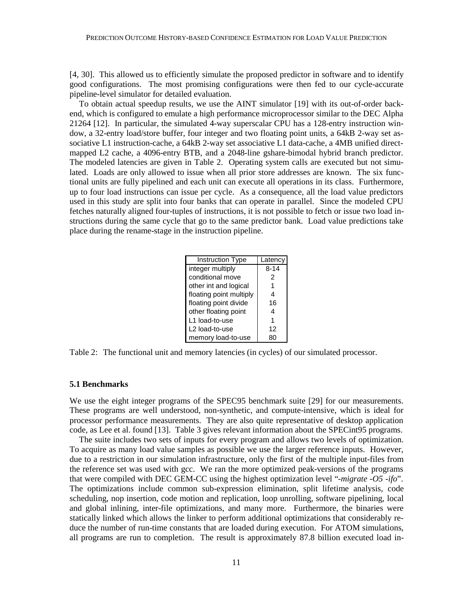[4, 30]. This allowed us to efficiently simulate the proposed predictor in software and to identify good configurations. The most promising configurations were then fed to our cycle-accurate pipeline-level simulator for detailed evaluation.

To obtain actual speedup results, we use the AINT simulator [19] with its out-of-order backend, which is configured to emulate a high performance microprocessor similar to the DEC Alpha 21264 [12]. In particular, the simulated 4-way superscalar CPU has a 128-entry instruction window, a 32-entry load/store buffer, four integer and two floating point units, a 64kB 2-way set associative L1 instruction-cache, a 64kB 2-way set associative L1 data-cache, a 4MB unified directmapped L2 cache, a 4096-entry BTB, and a 2048-line gshare-bimodal hybrid branch predictor. The modeled latencies are given in Table 2. Operating system calls are executed but not simulated. Loads are only allowed to issue when all prior store addresses are known. The six functional units are fully pipelined and each unit can execute all operations in its class. Furthermore, up to four load instructions can issue per cycle. As a consequence, all the load value predictors used in this study are split into four banks that can operate in parallel. Since the modeled CPU fetches naturally aligned four-tuples of instructions, it is not possible to fetch or issue two load instructions during the same cycle that go to the same predictor bank. Load value predictions take place during the rename-stage in the instruction pipeline.

| <b>Instruction Type</b> | Latency  |  |  |
|-------------------------|----------|--|--|
| integer multiply        | $8 - 14$ |  |  |
| conditional move        | 2        |  |  |
| other int and logical   |          |  |  |
| floating point multiply | 4        |  |  |
| floating point divide   | 16       |  |  |
| other floating point    | 4        |  |  |
| L1 load-to-use          |          |  |  |
| L2 load-to-use          | 12       |  |  |
| memory load-to-use      |          |  |  |

Table 2: The functional unit and memory latencies (in cycles) of our simulated processor.

### **5.1 Benchmarks**

We use the eight integer programs of the SPEC95 benchmark suite [29] for our measurements. These programs are well understood, non-synthetic, and compute-intensive, which is ideal for processor performance measurements. They are also quite representative of desktop application code, as Lee et al. found [13]. Table 3 gives relevant information about the SPECint95 programs.

The suite includes two sets of inputs for every program and allows two levels of optimization. To acquire as many load value samples as possible we use the larger reference inputs. However, due to a restriction in our simulation infrastructure, only the first of the multiple input-files from the reference set was used with gcc. We ran the more optimized peak-versions of the programs that were compiled with DEC GEM-CC using the highest optimization level "*-migrate -O5 -ifo*". The optimizations include common sub-expression elimination, split lifetime analysis, code scheduling, nop insertion, code motion and replication, loop unrolling, software pipelining, local and global inlining, inter-file optimizations, and many more. Furthermore, the binaries were statically linked which allows the linker to perform additional optimizations that considerably reduce the number of run-time constants that are loaded during execution. For ATOM simulations, all programs are run to completion. The result is approximately 87.8 billion executed load in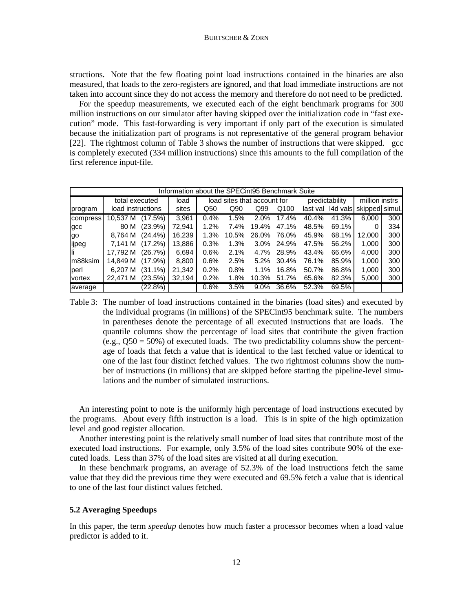structions. Note that the few floating point load instructions contained in the binaries are also measured, that loads to the zero-registers are ignored, and that load immediate instructions are not taken into account since they do not access the memory and therefore do not need to be predicted.

For the speedup measurements, we executed each of the eight benchmark programs for 300 million instructions on our simulator after having skipped over the initialization code in "fast execution" mode. This fast-forwarding is very important if only part of the execution is simulated because the initialization part of programs is not representative of the general program behavior [22]. The rightmost column of Table 3 shows the number of instructions that were skipped. gcc is completely executed (334 million instructions) since this amounts to the full compilation of the first reference input-file.

| Information about the SPECint95 Benchmark Suite |                   |            |        |                             |       |                |            |                |                   |                |     |
|-------------------------------------------------|-------------------|------------|--------|-----------------------------|-------|----------------|------------|----------------|-------------------|----------------|-----|
|                                                 | total executed    |            | load   | load sites that account for |       | predictability |            | million instrs |                   |                |     |
| program                                         | load instructions |            | sites  | Q50                         | Q90   | Q99            | Q100       |                | last val 14d vals | skipped simul. |     |
| compress                                        | 10.537 M          | (17.5%)    | 3.961  | 0.4%                        | 1.5%  | $2.0\%$        | 17.4%      | 40.4%          | 41.3%             | 6.000          | 300 |
| gcc                                             | 80 M              | $(23.9\%)$ | 72.941 | 1.2%                        | 7.4%  | 19.4%          | 47.1%      | 48.5%          | 69.1%             |                | 334 |
| lgo                                             | 8.764 M           | $(24.4\%)$ | 16.239 | 1.3%                        | 10.5% | 26.0%          | 76.0%      | 45.9%          | 68.1%             | 12.000         | 300 |
| ijpeg                                           | 7,141 M           | $(17.2\%)$ | 13,886 | 0.3%                        | 1.3%  |                | 3.0% 24.9% | 47.5%          | 56.2%             | 1.000          | 300 |
| lli.                                            | 17.792 M          | (26.7%)    | 6.694  | 0.6%                        | 2.1%  |                | 4.7% 28.9% | 43.4%          | 66.6%             | 4,000          | 300 |
| Im88ksim                                        | 14.849 M          | $(17.9\%)$ | 8,800  | 0.6%                        | 2.5%  | 5.2%           | 30.4%      | 76.1%          | 85.9%             | 1,000          | 300 |
| lperl                                           | 6.207 M           | $(31.1\%)$ | 21,342 | 0.2%                        | 0.8%  | $1.1\%$        | 16.8%      | 50.7%          | 86.8%             | 1,000          | 300 |
| <b>vortex</b>                                   | 22.471 M          | (23.5%)    | 32.194 | 0.2%                        | 1.8%  | 10.3%          | 51.7%      | 65.6%          | 82.3%             | 5,000          | 300 |
| average                                         |                   | (22.8%)    |        | 0.6%                        | 3.5%  | $9.0\%$        | 36.6%      | 52.3%          | 69.5%             |                |     |

Table 3: The number of load instructions contained in the binaries (load sites) and executed by the individual programs (in millions) of the SPECint95 benchmark suite. The numbers in parentheses denote the percentage of all executed instructions that are loads. The quantile columns show the percentage of load sites that contribute the given fraction (e.g.,  $Q50 = 50\%$ ) of executed loads. The two predictability columns show the percentage of loads that fetch a value that is identical to the last fetched value or identical to one of the last four distinct fetched values. The two rightmost columns show the number of instructions (in millions) that are skipped before starting the pipeline-level simulations and the number of simulated instructions.

An interesting point to note is the uniformly high percentage of load instructions executed by the programs. About every fifth instruction is a load. This is in spite of the high optimization level and good register allocation.

Another interesting point is the relatively small number of load sites that contribute most of the executed load instructions. For example, only 3.5% of the load sites contribute 90% of the executed loads. Less than 37% of the load sites are visited at all during execution.

In these benchmark programs, an average of 52.3% of the load instructions fetch the same value that they did the previous time they were executed and 69.5% fetch a value that is identical to one of the last four distinct values fetched.

### **5.2 Averaging Speedups**

In this paper, the term *speedup* denotes how much faster a processor becomes when a load value predictor is added to it.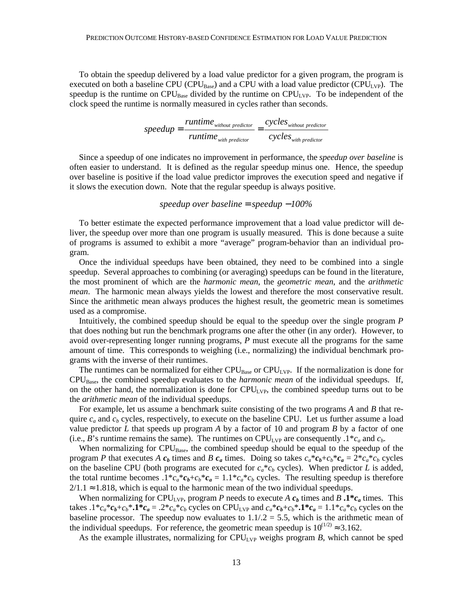To obtain the speedup delivered by a load value predictor for a given program, the program is executed on both a baseline CPU (CPU<sub>Base</sub>) and a CPU with a load value predictor (CPU<sub>LVP</sub>). The speedup is the runtime on  $\text{CPU}_{Base}$  divided by the runtime on  $\text{CPU}_{LVP}$ . To be independent of the clock speed the runtime is normally measured in cycles rather than seconds.

$$
speedup = \frac{runtime_{\text{without predictor}}}{runtime_{\text{with predictor}}} = \frac{cycles_{\text{without predictor}}}{cycles_{\text{with predictor}}}
$$

Since a speedup of one indicates no improvement in performance, the *speedup over baseline* is often easier to understand. It is defined as the regular speedup minus one. Hence, the speedup over baseline is positive if the load value predictor improves the execution speed and negative if it slows the execution down. Note that the regular speedup is always positive.

# *speedup over baseline* = *speedup* −*100%*

To better estimate the expected performance improvement that a load value predictor will deliver, the speedup over more than one program is usually measured. This is done because a suite of programs is assumed to exhibit a more "average" program-behavior than an individual program.

Once the individual speedups have been obtained, they need to be combined into a single speedup. Several approaches to combining (or averaging) speedups can be found in the literature, the most prominent of which are the *harmonic mean*, the *geometric mean*, and the *arithmetic mean*. The harmonic mean always yields the lowest and therefore the most conservative result. Since the arithmetic mean always produces the highest result, the geometric mean is sometimes used as a compromise.

Intuitively, the combined speedup should be equal to the speedup over the single program *P* that does nothing but run the benchmark programs one after the other (in any order). However, to avoid over-representing longer running programs, *P* must execute all the programs for the same amount of time. This corresponds to weighing (i.e., normalizing) the individual benchmark programs with the inverse of their runtimes.

The runtimes can be normalized for either  $CPU_{Base}$  or  $CPU_{LVP}$ . If the normalization is done for CPUBase, the combined speedup evaluates to the *harmonic mean* of the individual speedups. If, on the other hand, the normalization is done for  $\text{CPU}_{\text{LVP}}$ , the combined speedup turns out to be the *arithmetic mean* of the individual speedups.

For example, let us assume a benchmark suite consisting of the two programs *A* and *B* that require  $c_a$  and  $c_b$  cycles, respectively, to execute on the baseline CPU. Let us further assume a load value predictor *L* that speeds up program *A* by a factor of 10 and program *B* by a factor of one (i.e., *B*'s runtime remains the same). The runtimes on CPU<sub>LVP</sub> are consequently  $.1 * c_a$  and  $c_b$ .

When normalizing for CPU<sub>Base</sub>, the combined speedup should be equal to the speedup of the program *P* that executes *A*  $c_b$  times and *B*  $c_a$  times. Doing so takes  $c_a * c_b + c_b * c_a = 2 * c_a * c_b$  cycles on the baseline CPU (both programs are executed for  $c_a * c_b$  cycles). When predictor *L* is added, the total runtime becomes  $.1 * c_a * c_b + c_b * c_a = 1.1 * c_a * c_b$  cycles. The resulting speedup is therefore  $2/1.1 \approx 1.818$ , which is equal to the harmonic mean of the two individual speedups.

When normalizing for CPU<sub>LVP</sub>, program *P* needs to execute *A*  $c<sub>b</sub>$  times and *B* **.1\*** $c<sub>a</sub>$  times. This takes  $.1^*c_a^*c_b+c_b^*$ .1\* $c_a = .2^*c_a^*c_b$  cycles on CPU<sub>LVP</sub> and  $c_a^*c_b+c_b^*$ .1\* $c_a = 1.1^*c_a^*c_b$  cycles on the baseline processor. The speedup now evaluates to  $1.1/2 = 5.5$ , which is the arithmetic mean of the individual speedups. For reference, the geometric mean speedup is  $10^{(1/2)} \approx 3.162$ .

As the example illustrates, normalizing for  $CPU_{LVP}$  weighs program *B*, which cannot be sped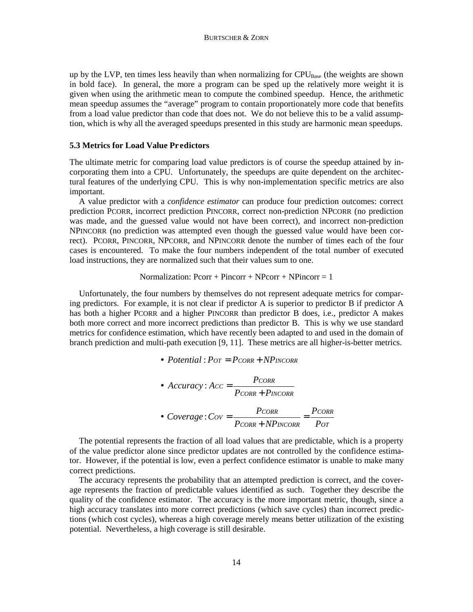up by the LVP, ten times less heavily than when normalizing for  $CPU_{Base}$  (the weights are shown in bold face). In general, the more a program can be sped up the relatively more weight it is given when using the arithmetic mean to compute the combined speedup. Hence, the arithmetic mean speedup assumes the "average" program to contain proportionately more code that benefits from a load value predictor than code that does not. We do not believe this to be a valid assumption, which is why all the averaged speedups presented in this study are harmonic mean speedups.

# **5.3 Metrics for Load Value Predictors**

The ultimate metric for comparing load value predictors is of course the speedup attained by incorporating them into a CPU. Unfortunately, the speedups are quite dependent on the architectural features of the underlying CPU. This is why non-implementation specific metrics are also important.

A value predictor with a *confidence estimator* can produce four prediction outcomes: correct prediction PCORR, incorrect prediction PINCORR, correct non-prediction NPCORR (no prediction was made, and the guessed value would not have been correct), and incorrect non-prediction NPINCORR (no prediction was attempted even though the guessed value would have been correct). PCORR, PINCORR, NPCORR, and NPINCORR denote the number of times each of the four cases is encountered. To make the four numbers independent of the total number of executed load instructions, they are normalized such that their values sum to one.

#### Normalization:  $Pcorr + Pincorr + NPcorr + NPincorr = 1$

Unfortunately, the four numbers by themselves do not represent adequate metrics for comparing predictors. For example, it is not clear if predictor A is superior to predictor B if predictor A has both a higher PCORR and a higher PINCORR than predictor B does, i.e., predictor A makes both more correct and more incorrect predictions than predictor B. This is why we use standard metrics for confidence estimation, which have recently been adapted to and used in the domain of branch prediction and multi-path execution [9, 11]. These metrics are all higher-is-better metrics.

• *Potential* : *POT* = *PCORR* + *NPINCORR*

\n- Accuracy: 
$$
Acc = \frac{P_{CORR}}{P_{CORR} + P_{INCORR}}
$$
\n- Coverage:  $Cov = \frac{P_{CORR}}{P_{CORR} + NP_{INCORR}} = \frac{P_{CORR}}{P_{OT}}$
\n

The potential represents the fraction of all load values that are predictable, which is a property of the value predictor alone since predictor updates are not controlled by the confidence estimator. However, if the potential is low, even a perfect confidence estimator is unable to make many correct predictions.

The accuracy represents the probability that an attempted prediction is correct, and the coverage represents the fraction of predictable values identified as such. Together they describe the quality of the confidence estimator. The accuracy is the more important metric, though, since a high accuracy translates into more correct predictions (which save cycles) than incorrect predictions (which cost cycles), whereas a high coverage merely means better utilization of the existing potential. Nevertheless, a high coverage is still desirable.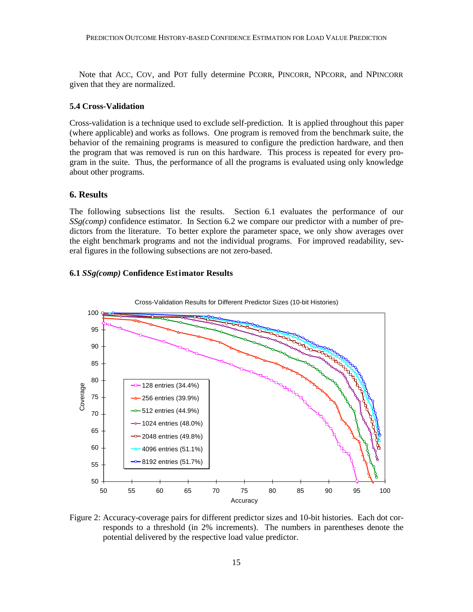Note that ACC, COV, and POT fully determine PCORR, PINCORR, NPCORR, and NPINCORR given that they are normalized.

# **5.4 Cross-Validation**

Cross-validation is a technique used to exclude self-prediction. It is applied throughout this paper (where applicable) and works as follows. One program is removed from the benchmark suite, the behavior of the remaining programs is measured to configure the prediction hardware, and then the program that was removed is run on this hardware. This process is repeated for every program in the suite. Thus, the performance of all the programs is evaluated using only knowledge about other programs.

# **6. Results**

The following subsections list the results. Section 6.1 evaluates the performance of our *SSg(comp)* confidence estimator. In Section 6.2 we compare our predictor with a number of predictors from the literature. To better explore the parameter space, we only show averages over the eight benchmark programs and not the individual programs. For improved readability, several figures in the following subsections are not zero-based.

### **6.1** *SSg(comp)* **Confidence Estimator Results**



Figure 2: Accuracy-coverage pairs for different predictor sizes and 10-bit histories. Each dot corresponds to a threshold (in 2% increments). The numbers in parentheses denote the potential delivered by the respective load value predictor.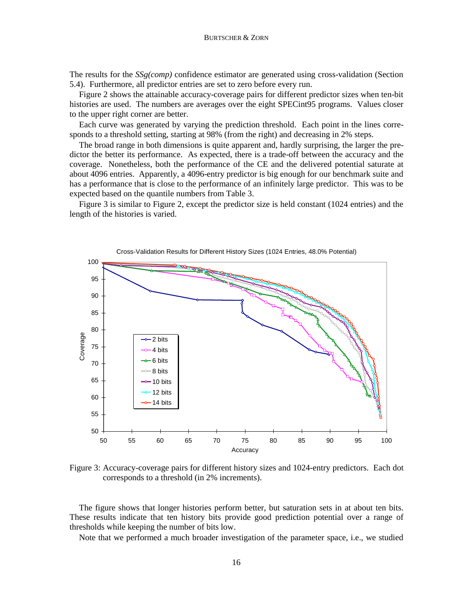The results for the *SSg(comp)* confidence estimator are generated using cross-validation (Section 5.4). Furthermore, all predictor entries are set to zero before every run.

Figure 2 shows the attainable accuracy-coverage pairs for different predictor sizes when ten-bit histories are used. The numbers are averages over the eight SPECint95 programs. Values closer to the upper right corner are better.

Each curve was generated by varying the prediction threshold. Each point in the lines corresponds to a threshold setting, starting at 98% (from the right) and decreasing in 2% steps.

The broad range in both dimensions is quite apparent and, hardly surprising, the larger the predictor the better its performance. As expected, there is a trade-off between the accuracy and the coverage. Nonetheless, both the performance of the CE and the delivered potential saturate at about 4096 entries. Apparently, a 4096-entry predictor is big enough for our benchmark suite and has a performance that is close to the performance of an infinitely large predictor. This was to be expected based on the quantile numbers from Table 3.

Figure 3 is similar to Figure 2, except the predictor size is held constant (1024 entries) and the length of the histories is varied.



Figure 3: Accuracy-coverage pairs for different history sizes and 1024-entry predictors. Each dot corresponds to a threshold (in 2% increments).

The figure shows that longer histories perform better, but saturation sets in at about ten bits. These results indicate that ten history bits provide good prediction potential over a range of thresholds while keeping the number of bits low.

Note that we performed a much broader investigation of the parameter space, i.e., we studied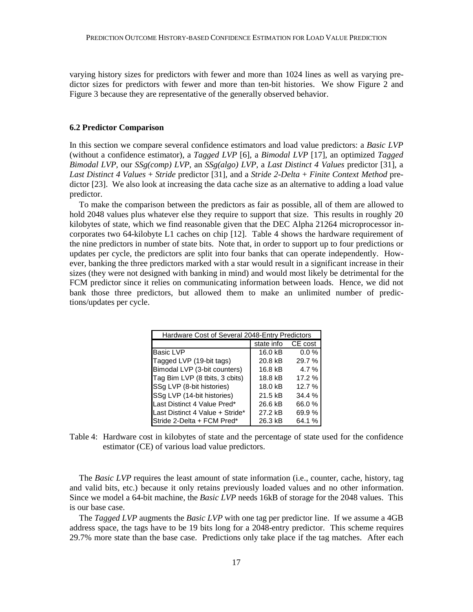varying history sizes for predictors with fewer and more than 1024 lines as well as varying predictor sizes for predictors with fewer and more than ten-bit histories. We show Figure 2 and Figure 3 because they are representative of the generally observed behavior.

### **6.2 Predictor Comparison**

In this section we compare several confidence estimators and load value predictors: a *Basic LVP* (without a confidence estimator), a *Tagged LVP* [6], a *Bimodal LVP* [17], an optimized *Tagged Bimodal LVP*, our *SSg(comp) LVP*, an *SSg(algo) LVP*, a *Last Distinct 4 Values* predictor [31], a *Last Distinct 4 Values* + *Stride* predictor [31], and a *Stride 2-Delta* + *Finite Context Method* predictor [23]. We also look at increasing the data cache size as an alternative to adding a load value predictor.

To make the comparison between the predictors as fair as possible, all of them are allowed to hold 2048 values plus whatever else they require to support that size. This results in roughly 20 kilobytes of state, which we find reasonable given that the DEC Alpha 21264 microprocessor incorporates two 64-kilobyte L1 caches on chip [12]. Table 4 shows the hardware requirement of the nine predictors in number of state bits. Note that, in order to support up to four predictions or updates per cycle, the predictors are split into four banks that can operate independently. However, banking the three predictors marked with a star would result in a significant increase in their sizes (they were not designed with banking in mind) and would most likely be detrimental for the FCM predictor since it relies on communicating information between loads. Hence, we did not bank those three predictors, but allowed them to make an unlimited number of predictions/updates per cycle.

| Hardware Cost of Several 2048-Entry Predictors |            |         |  |  |  |
|------------------------------------------------|------------|---------|--|--|--|
|                                                | state info | CE cost |  |  |  |
| <b>Basic LVP</b>                               | 16.0 kB    | 0.0%    |  |  |  |
| Tagged LVP (19-bit tags)                       | 20.8 kB    | 29.7 %  |  |  |  |
| Bimodal LVP (3-bit counters)                   | 16.8 kB    | 4.7%    |  |  |  |
| Tag Bim LVP (8 tbits, 3 cbits)                 | 18.8 kB    | 17.2 %  |  |  |  |
| SSg LVP (8-bit histories)                      | 18.0 kB    | 12.7 %  |  |  |  |
| SSg LVP (14-bit histories)                     | 21.5 kB    | 34.4%   |  |  |  |
| Last Distinct 4 Value Pred*                    | 26.6 kB    | 66.0%   |  |  |  |
| Last Distinct 4 Value + Stride*                | 27.2 kB    | 69.9%   |  |  |  |
| Stride 2-Delta + FCM Pred*                     | 26.3 kB    | 64.1 %  |  |  |  |

Table 4: Hardware cost in kilobytes of state and the percentage of state used for the confidence estimator (CE) of various load value predictors.

The *Basic LVP* requires the least amount of state information (i.e., counter, cache, history, tag and valid bits, etc.) because it only retains previously loaded values and no other information. Since we model a 64-bit machine, the *Basic LVP* needs 16kB of storage for the 2048 values. This is our base case.

The *Tagged LVP* augments the *Basic LVP* with one tag per predictor line. If we assume a 4GB address space, the tags have to be 19 bits long for a 2048-entry predictor. This scheme requires 29.7% more state than the base case. Predictions only take place if the tag matches. After each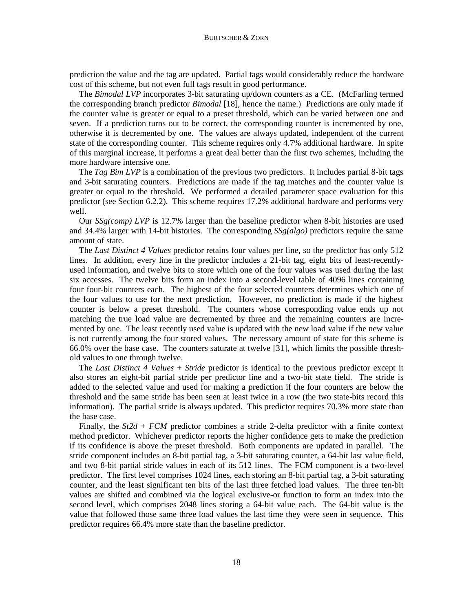prediction the value and the tag are updated. Partial tags would considerably reduce the hardware cost of this scheme, but not even full tags result in good performance.

The *Bimodal LVP* incorporates 3-bit saturating up/down counters as a CE. (McFarling termed the corresponding branch predictor *Bimodal* [18], hence the name.) Predictions are only made if the counter value is greater or equal to a preset threshold, which can be varied between one and seven. If a prediction turns out to be correct, the corresponding counter is incremented by one, otherwise it is decremented by one. The values are always updated, independent of the current state of the corresponding counter. This scheme requires only 4.7% additional hardware. In spite of this marginal increase, it performs a great deal better than the first two schemes, including the more hardware intensive one.

The *Tag Bim LVP* is a combination of the previous two predictors. It includes partial 8-bit tags and 3-bit saturating counters. Predictions are made if the tag matches and the counter value is greater or equal to the threshold. We performed a detailed parameter space evaluation for this predictor (see Section 6.2.2). This scheme requires 17.2% additional hardware and performs very well.

Our *SSg(comp) LVP* is 12.7% larger than the baseline predictor when 8-bit histories are used and 34.4% larger with 14-bit histories. The corresponding *SSg(algo)* predictors require the same amount of state.

The *Last Distinct 4 Values* predictor retains four values per line, so the predictor has only 512 lines. In addition, every line in the predictor includes a 21-bit tag, eight bits of least-recentlyused information, and twelve bits to store which one of the four values was used during the last six accesses. The twelve bits form an index into a second-level table of 4096 lines containing four four-bit counters each. The highest of the four selected counters determines which one of the four values to use for the next prediction. However, no prediction is made if the highest counter is below a preset threshold. The counters whose corresponding value ends up not matching the true load value are decremented by three and the remaining counters are incremented by one. The least recently used value is updated with the new load value if the new value is not currently among the four stored values. The necessary amount of state for this scheme is 66.0% over the base case. The counters saturate at twelve [31], which limits the possible threshold values to one through twelve.

The *Last Distinct 4 Values* + *Stride* predictor is identical to the previous predictor except it also stores an eight-bit partial stride per predictor line and a two-bit state field. The stride is added to the selected value and used for making a prediction if the four counters are below the threshold and the same stride has been seen at least twice in a row (the two state-bits record this information). The partial stride is always updated. This predictor requires 70.3% more state than the base case.

Finally, the *St2d* + *FCM* predictor combines a stride 2-delta predictor with a finite context method predictor. Whichever predictor reports the higher confidence gets to make the prediction if its confidence is above the preset threshold. Both components are updated in parallel. The stride component includes an 8-bit partial tag, a 3-bit saturating counter, a 64-bit last value field, and two 8-bit partial stride values in each of its 512 lines. The FCM component is a two-level predictor. The first level comprises 1024 lines, each storing an 8-bit partial tag, a 3-bit saturating counter, and the least significant ten bits of the last three fetched load values. The three ten-bit values are shifted and combined via the logical exclusive-or function to form an index into the second level, which comprises 2048 lines storing a 64-bit value each. The 64-bit value is the value that followed those same three load values the last time they were seen in sequence. This predictor requires 66.4% more state than the baseline predictor.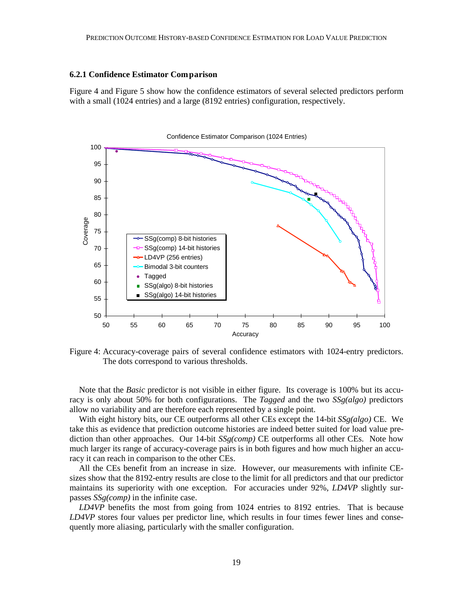### **6.2.1 Confidence Estimator Comparison**

Figure 4 and Figure 5 show how the confidence estimators of several selected predictors perform with a small (1024 entries) and a large (8192 entries) configuration, respectively.



Figure 4: Accuracy-coverage pairs of several confidence estimators with 1024-entry predictors. The dots correspond to various thresholds.

Note that the *Basic* predictor is not visible in either figure. Its coverage is 100% but its accuracy is only about 50% for both configurations. The *Tagged* and the two *SSg(algo)* predictors allow no variability and are therefore each represented by a single point.

With eight history bits, our CE outperforms all other CEs except the 14-bit *SSg(algo)* CE. We take this as evidence that prediction outcome histories are indeed better suited for load value prediction than other approaches. Our 14-bit *SSg(comp)* CE outperforms all other CEs. Note how much larger its range of accuracy-coverage pairs is in both figures and how much higher an accuracy it can reach in comparison to the other CEs.

All the CEs benefit from an increase in size. However, our measurements with infinite CEsizes show that the 8192-entry results are close to the limit for all predictors and that our predictor maintains its superiority with one exception. For accuracies under 92%, *LD4VP* slightly surpasses *SSg(comp)* in the infinite case.

*LD4VP* benefits the most from going from 1024 entries to 8192 entries. That is because *LD4VP* stores four values per predictor line, which results in four times fewer lines and consequently more aliasing, particularly with the smaller configuration.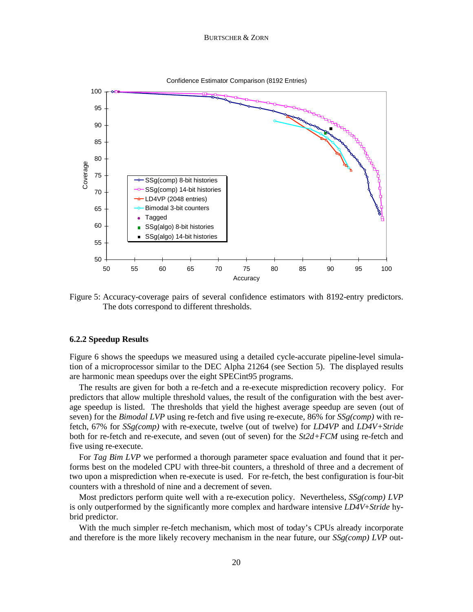

Figure 5: Accuracy-coverage pairs of several confidence estimators with 8192-entry predictors. The dots correspond to different thresholds.

### **6.2.2 Speedup Results**

Figure 6 shows the speedups we measured using a detailed cycle-accurate pipeline-level simulation of a microprocessor similar to the DEC Alpha 21264 (see Section 5). The displayed results are harmonic mean speedups over the eight SPECint95 programs.

The results are given for both a re-fetch and a re-execute misprediction recovery policy. For predictors that allow multiple threshold values, the result of the configuration with the best average speedup is listed. The thresholds that yield the highest average speedup are seven (out of seven) for the *Bimodal LVP* using re-fetch and five using re-execute, 86% for *SSg(comp)* with refetch, 67% for *SSg(comp)* with re-execute, twelve (out of twelve) for *LD4VP* and *LD4V+Stride* both for re-fetch and re-execute, and seven (out of seven) for the *St2d+FCM* using re-fetch and five using re-execute.

For *Tag Bim LVP* we performed a thorough parameter space evaluation and found that it performs best on the modeled CPU with three-bit counters, a threshold of three and a decrement of two upon a misprediction when re-execute is used. For re-fetch, the best configuration is four-bit counters with a threshold of nine and a decrement of seven.

Most predictors perform quite well with a re-execution policy. Nevertheless, *SSg(comp) LVP* is only outperformed by the significantly more complex and hardware intensive *LD4V*+*Stride* hybrid predictor.

With the much simpler re-fetch mechanism, which most of today's CPUs already incorporate and therefore is the more likely recovery mechanism in the near future, our *SSg(comp) LVP* out-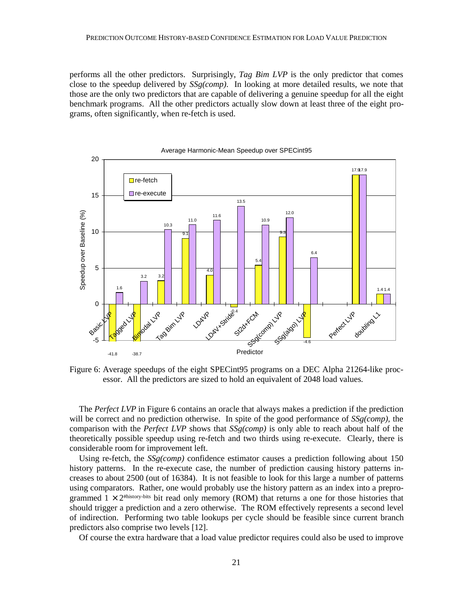performs all the other predictors. Surprisingly, *Tag Bim LVP* is the only predictor that comes close to the speedup delivered by *SSg(comp)*. In looking at more detailed results, we note that those are the only two predictors that are capable of delivering a genuine speedup for all the eight benchmark programs. All the other predictors actually slow down at least three of the eight programs, often significantly, when re-fetch is used.



Average Harmonic-Mean Speedup over SPECint95

Figure 6: Average speedups of the eight SPECint95 programs on a DEC Alpha 21264-like processor. All the predictors are sized to hold an equivalent of 2048 load values.

The *Perfect LVP* in Figure 6 contains an oracle that always makes a prediction if the prediction will be correct and no prediction otherwise. In spite of the good performance of *SSg(comp)*, the comparison with the *Perfect LVP* shows that *SSg(comp)* is only able to reach about half of the theoretically possible speedup using re-fetch and two thirds using re-execute. Clearly, there is considerable room for improvement left.

Using re-fetch, the *SSg(comp)* confidence estimator causes a prediction following about 150 history patterns. In the re-execute case, the number of prediction causing history patterns increases to about 2500 (out of 16384). It is not feasible to look for this large a number of patterns using comparators. Rather, one would probably use the history pattern as an index into a preprogrammed  $1 \times 2^{\text{thistory-bits}}$  bit read only memory (ROM) that returns a one for those histories that should trigger a prediction and a zero otherwise. The ROM effectively represents a second level of indirection. Performing two table lookups per cycle should be feasible since current branch predictors also comprise two levels [12].

Of course the extra hardware that a load value predictor requires could also be used to improve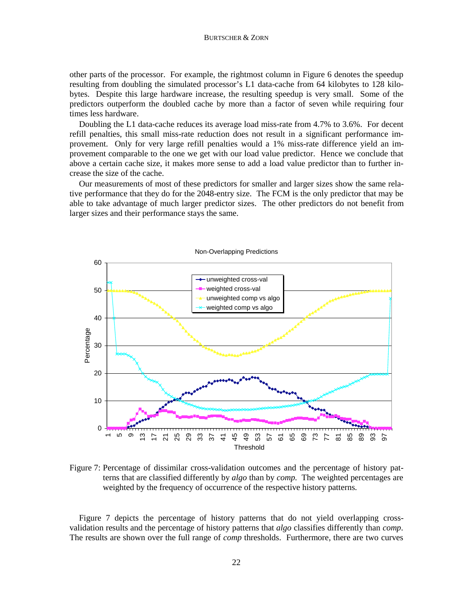other parts of the processor. For example, the rightmost column in Figure 6 denotes the speedup resulting from doubling the simulated processor's L1 data-cache from 64 kilobytes to 128 kilobytes. Despite this large hardware increase, the resulting speedup is very small. Some of the predictors outperform the doubled cache by more than a factor of seven while requiring four times less hardware.

Doubling the L1 data-cache reduces its average load miss-rate from 4.7% to 3.6%. For decent refill penalties, this small miss-rate reduction does not result in a significant performance improvement. Only for very large refill penalties would a 1% miss-rate difference yield an improvement comparable to the one we get with our load value predictor. Hence we conclude that above a certain cache size, it makes more sense to add a load value predictor than to further increase the size of the cache.

Our measurements of most of these predictors for smaller and larger sizes show the same relative performance that they do for the 2048-entry size. The FCM is the only predictor that may be able to take advantage of much larger predictor sizes. The other predictors do not benefit from larger sizes and their performance stays the same.



Figure 7: Percentage of dissimilar cross-validation outcomes and the percentage of history patterns that are classified differently by *algo* than by *comp.* The weighted percentages are weighted by the frequency of occurrence of the respective history patterns.

Figure 7 depicts the percentage of history patterns that do not yield overlapping crossvalidation results and the percentage of history patterns that *algo* classifies differently than *comp*. The results are shown over the full range of *comp* thresholds. Furthermore, there are two curves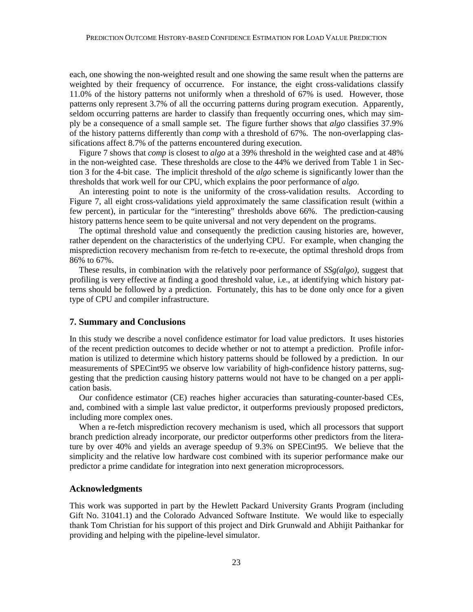each, one showing the non-weighted result and one showing the same result when the patterns are weighted by their frequency of occurrence. For instance, the eight cross-validations classify 11.0% of the history patterns not uniformly when a threshold of 67% is used. However, those patterns only represent 3.7% of all the occurring patterns during program execution. Apparently, seldom occurring patterns are harder to classify than frequently occurring ones, which may simply be a consequence of a small sample set. The figure further shows that *algo* classifies 37.9% of the history patterns differently than *comp* with a threshold of 67%. The non-overlapping classifications affect 8.7% of the patterns encountered during execution.

Figure 7 shows that *comp* is closest to *algo* at a 39% threshold in the weighted case and at 48% in the non-weighted case. These thresholds are close to the 44% we derived from Table 1 in Section 3 for the 4-bit case. The implicit threshold of the *algo* scheme is significantly lower than the thresholds that work well for our CPU, which explains the poor performance of *algo*.

An interesting point to note is the uniformity of the cross-validation results. According to Figure 7, all eight cross-validations yield approximately the same classification result (within a few percent), in particular for the "interesting" thresholds above 66%. The prediction-causing history patterns hence seem to be quite universal and not very dependent on the programs.

The optimal threshold value and consequently the prediction causing histories are, however, rather dependent on the characteristics of the underlying CPU. For example, when changing the misprediction recovery mechanism from re-fetch to re-execute, the optimal threshold drops from 86% to 67%.

These results, in combination with the relatively poor performance of *SSg(algo)*, suggest that profiling is very effective at finding a good threshold value, i.e., at identifying which history patterns should be followed by a prediction. Fortunately, this has to be done only once for a given type of CPU and compiler infrastructure.

#### **7. Summary and Conclusions**

In this study we describe a novel confidence estimator for load value predictors. It uses histories of the recent prediction outcomes to decide whether or not to attempt a prediction. Profile information is utilized to determine which history patterns should be followed by a prediction. In our measurements of SPECint95 we observe low variability of high-confidence history patterns, suggesting that the prediction causing history patterns would not have to be changed on a per application basis.

Our confidence estimator (CE) reaches higher accuracies than saturating-counter-based CEs, and, combined with a simple last value predictor, it outperforms previously proposed predictors, including more complex ones.

When a re-fetch misprediction recovery mechanism is used, which all processors that support branch prediction already incorporate, our predictor outperforms other predictors from the literature by over 40% and yields an average speedup of 9.3% on SPECint95. We believe that the simplicity and the relative low hardware cost combined with its superior performance make our predictor a prime candidate for integration into next generation microprocessors.

### **Acknowledgments**

This work was supported in part by the Hewlett Packard University Grants Program (including Gift No. 31041.1) and the Colorado Advanced Software Institute. We would like to especially thank Tom Christian for his support of this project and Dirk Grunwald and Abhijit Paithankar for providing and helping with the pipeline-level simulator.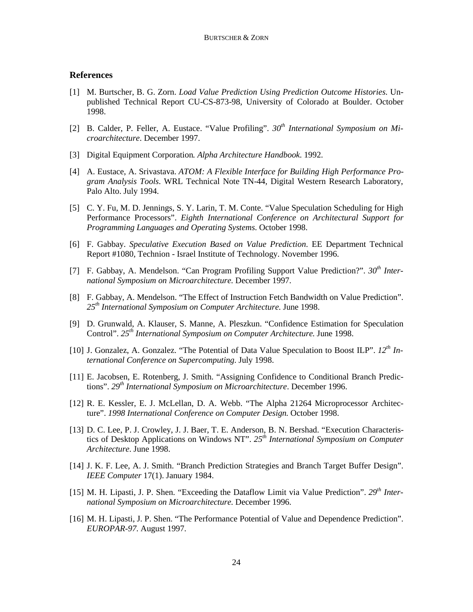### **References**

- [1] M. Burtscher, B. G. Zorn. *Load Value Prediction Using Prediction Outcome Histories*. Unpublished Technical Report CU-CS-873-98, University of Colorado at Boulder. October 1998.
- [2] B. Calder, P. Feller, A. Eustace. "Value Profiling". *30th International Symposium on Microarchitecture*. December 1997.
- [3] Digital Equipment Corporation*. Alpha Architecture Handbook*. 1992.
- [4] A. Eustace, A. Srivastava. *ATOM: A Flexible Interface for Building High Performance Program Analysis Tools*. WRL Technical Note TN-44, Digital Western Research Laboratory, Palo Alto. July 1994.
- [5] C. Y. Fu, M. D. Jennings, S. Y. Larin, T. M. Conte. "Value Speculation Scheduling for High Performance Processors". *Eighth International Conference on Architectural Support for Programming Languages and Operating Systems*. October 1998.
- [6] F. Gabbay. *Speculative Execution Based on Value Prediction*. EE Department Technical Report #1080, Technion - Israel Institute of Technology. November 1996.
- [7] F. Gabbay, A. Mendelson. "Can Program Profiling Support Value Prediction?". *30th International Symposium on Microarchitecture*. December 1997.
- [8] F. Gabbay, A. Mendelson. "The Effect of Instruction Fetch Bandwidth on Value Prediction". *25th International Symposium on Computer Architecture*. June 1998.
- [9] D. Grunwald, A. Klauser, S. Manne, A. Pleszkun. "Confidence Estimation for Speculation Control". *25th International Symposium on Computer Architecture*. June 1998.
- [10] J. Gonzalez, A. Gonzalez. "The Potential of Data Value Speculation to Boost ILP". *12th International Conference on Supercomputing*. July 1998.
- [11] E. Jacobsen, E. Rotenberg, J. Smith. "Assigning Confidence to Conditional Branch Predictions". *29th International Symposium on Microarchitecture*. December 1996.
- [12] R. E. Kessler, E. J. McLellan, D. A. Webb. "The Alpha 21264 Microprocessor Architecture". *1998 International Conference on Computer Design*. October 1998.
- [13] D. C. Lee, P. J. Crowley, J. J. Baer, T. E. Anderson, B. N. Bershad. "Execution Characteristics of Desktop Applications on Windows NT". *25th International Symposium on Computer Architecture*. June 1998.
- [14] J. K. F. Lee, A. J. Smith. "Branch Prediction Strategies and Branch Target Buffer Design". *IEEE Computer* 17(1). January 1984.
- [15] M. H. Lipasti, J. P. Shen. "Exceeding the Dataflow Limit via Value Prediction". *29th International Symposium on Microarchitecture*. December 1996.
- [16] M. H. Lipasti, J. P. Shen. "The Performance Potential of Value and Dependence Prediction". *EUROPAR-97*. August 1997.